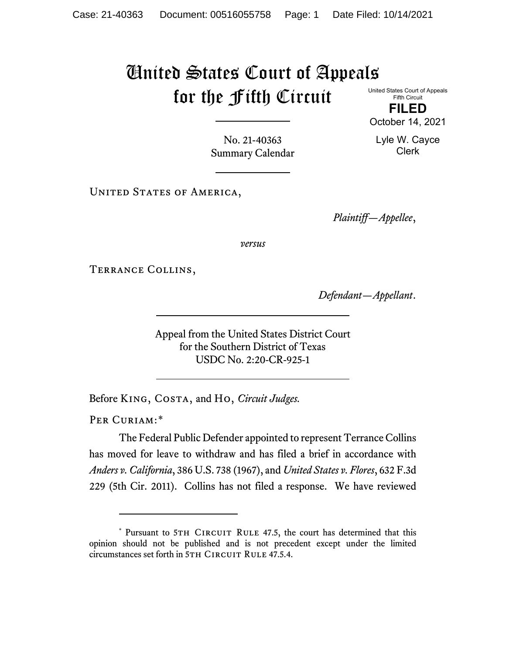## United States Court of Appeals for the Fifth Circuit United States Court of Appeals

Fifth Circuit **FILED** October 14, 2021

Lyle W. Cayce Clerk

No. 21-40363 Summary Calendar

UNITED STATES OF AMERICA,

*Plaintiff—Appellee*,

*versus*

Terrance Collins,

*Defendant—Appellant*.

Appeal from the United States District Court for the Southern District of Texas USDC No. 2:20-CR-925-1

Before King, Costa, and Ho, *Circuit Judges.*

PER CURIAM:[\\*](#page-0-0)

The Federal Public Defender appointed to represent Terrance Collins has moved for leave to withdraw and has filed a brief in accordance with *Anders v. California*, 386 U.S. 738 (1967), and *United States v. Flores*, 632 F.3d 229 (5th Cir. 2011). Collins has not filed a response. We have reviewed

<span id="page-0-0"></span><sup>\*</sup> Pursuant to 5TH CIRCUIT RULE 47.5, the court has determined that this opinion should not be published and is not precedent except under the limited circumstances set forth in 5TH CIRCUIT RULE 47.5.4.